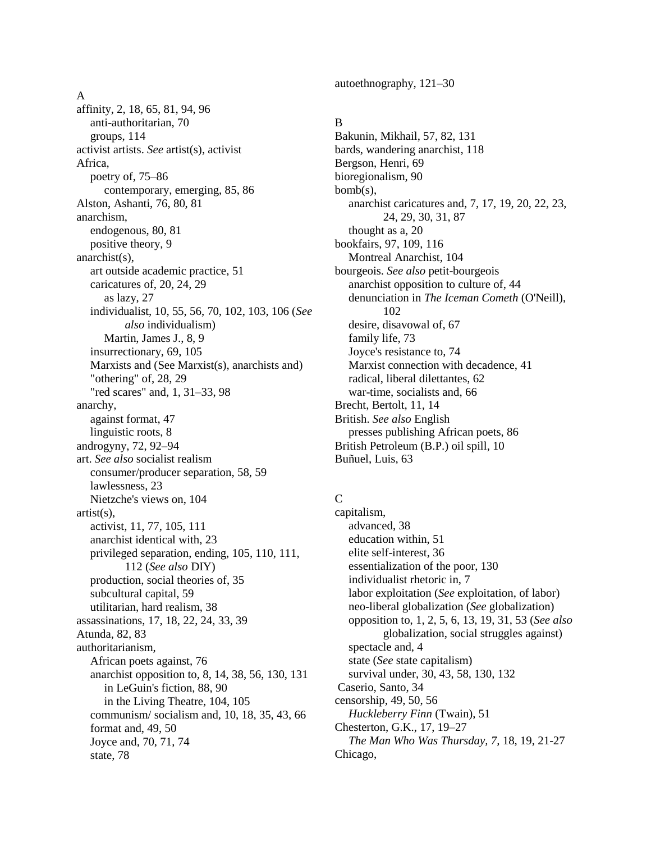#### A

affinity, 2, 18, 65, 81, 94, 96 anti-authoritarian, 70 groups, 114 activist artists. *See* artist(s), activist Africa, poetry of, 75–86 contemporary, emerging, 85, 86 Alston, Ashanti, 76, 80, 81 anarchism, endogenous, 80, 81 positive theory, 9 anarchist(s), art outside academic practice, 51 caricatures of, 20, 24, 29 as lazy, 27 individualist, 10, 55, 56, 70, 102, 103, 106 (*See also* individualism) Martin, James J., 8, 9 insurrectionary, 69, 105 Marxists and (See Marxist(s), anarchists and) "othering" of, 28, 29 "red scares" and, 1, 31–33, 98 anarchy, against format, 47 linguistic roots, 8 androgyny, 72, 92–94 art. *See also* socialist realism consumer/producer separation, 58, 59 lawlessness, 23 Nietzche's views on, 104 artist(s), activist, 11, 77, 105, 111 anarchist identical with, 23 privileged separation, ending, 105, 110, 111, 112 (*See also* DIY) production, social theories of, 35 subcultural capital, 59 utilitarian, hard realism, 38 assassinations, 17, 18, 22, 24, 33, 39 Atunda, 82, 83 authoritarianism, African poets against, 76 anarchist opposition to, 8, 14, 38, 56, 130, 131 in LeGuin's fiction, 88, 90 in the Living Theatre, 104, 105 communism/ socialism and, 10, 18, 35, 43, 66 format and, 49, 50 Joyce and, 70, 71, 74 state, 78

autoethnography, 121–30

### B

Bakunin, Mikhail, 57, 82, 131 bards, wandering anarchist, 118 Bergson, Henri, 69 bioregionalism, 90 bomb(s), anarchist caricatures and, 7, 17, 19, 20, 22, 23, 24, 29, 30, 31, 87 thought as a, 20 bookfairs, 97, 109, 116 Montreal Anarchist, 104 bourgeois. *See also* petit-bourgeois anarchist opposition to culture of, 44 denunciation in *The Iceman Cometh* (O'Neill), 102 desire, disavowal of, 67 family life, 73 Joyce's resistance to, 74 Marxist connection with decadence, 41 radical, liberal dilettantes, 62 war-time, socialists and, 66 Brecht, Bertolt, 11, 14 British. *See also* English presses publishing African poets, 86 British Petroleum (B.P.) oil spill, 10 Buñuel, Luis, 63

## $\overline{C}$

capitalism, advanced, 38 education within, 51 elite self-interest, 36 essentialization of the poor, 130 individualist rhetoric in, 7 labor exploitation (*See* exploitation, of labor) neo-liberal globalization (*See* globalization) opposition to, 1, 2, 5, 6, 13, 19, 31, 53 (*See also* globalization, social struggles against) spectacle and, 4 state (*See* state capitalism) survival under, 30, 43, 58, 130, 132 Caserio, Santo, 34 censorship, 49, 50, 56 *Huckleberry Finn* (Twain), 51 Chesterton, G.K., 17, 19–27 *The Man Who Was Thursday, 7,* 18, 19, 21-27 Chicago,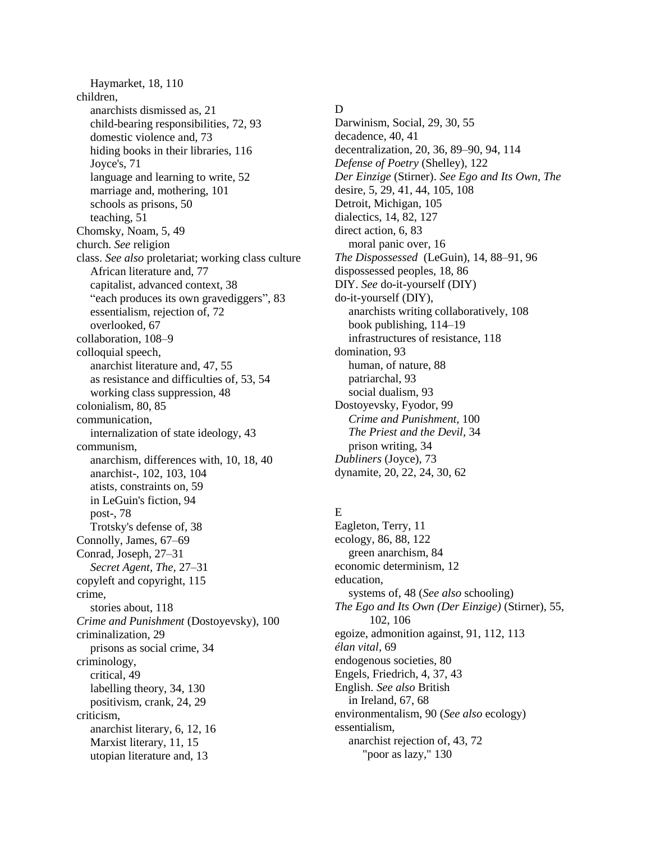Haymarket, 18, 110 children, anarchists dismissed as, 21 child-bearing responsibilities, 72, 93 domestic violence and, 73 hiding books in their libraries, 116 Joyce's, 71 language and learning to write, 52 marriage and, mothering, 101 schools as prisons, 50 teaching, 51 Chomsky, Noam, 5, 49 church. *See* religion class. *See also* proletariat; working class culture African literature and, 77 capitalist, advanced context, 38 "each produces its own gravediggers", 83 essentialism, rejection of, 72 overlooked, 67 collaboration, 108–9 colloquial speech, anarchist literature and, 47, 55 as resistance and difficulties of, 53, 54 working class suppression, 48 colonialism, 80, 85 communication, internalization of state ideology, 43 communism, anarchism, differences with, 10, 18, 40 anarchist-, 102, 103, 104 atists, constraints on, 59 in LeGuin's fiction, 94 post-, 78 Trotsky's defense of, 38 Connolly, James, 67–69 Conrad, Joseph, 27–31 *Secret Agent, The,* 27–31 copyleft and copyright, 115 crime, stories about, 118 *Crime and Punishment* (Dostoyevsky), 100 criminalization, 29 prisons as social crime, 34 criminology, critical, 49 labelling theory, 34, 130 positivism, crank, 24, 29 criticism, anarchist literary, 6, 12, 16 Marxist literary, 11, 15 utopian literature and, 13

### D

Darwinism, Social, 29, 30, 55 decadence, 40, 41 decentralization, 20, 36, 89–90, 94, 114 *Defense of Poetry* (Shelley), 122 *Der Einzige* (Stirner). *See Ego and Its Own, The* desire, 5, 29, 41, 44, 105, 108 Detroit, Michigan, 105 dialectics, 14, 82, 127 direct action, 6, 83 moral panic over, 16 *The Dispossessed* (LeGuin), 14, 88–91, 96 dispossessed peoples, 18, 86 DIY. *See* do-it-yourself (DIY) do-it-yourself (DIY), anarchists writing collaboratively, 108 book publishing, 114–19 infrastructures of resistance, 118 domination, 93 human, of nature, 88 patriarchal, 93 social dualism, 93 Dostoyevsky, Fyodor, 99 *Crime and Punishment,* 100 *The Priest and the Devil,* 34 prison writing, 34 *Dubliners* (Joyce), 73 dynamite, 20, 22, 24, 30, 62

## E

Eagleton, Terry, 11 ecology, 86, 88, 122 green anarchism, 84 economic determinism, 12 education, systems of, 48 (*See also* schooling) *The Ego and Its Own (Der Einzige)* (Stirner), 55, 102, 106 egoize, admonition against, 91, 112, 113 *élan vital,* 69 endogenous societies, 80 Engels, Friedrich, 4, 37, 43 English. *See also* British in Ireland, 67, 68 environmentalism, 90 (*See also* ecology) essentialism, anarchist rejection of, 43, 72 "poor as lazy," 130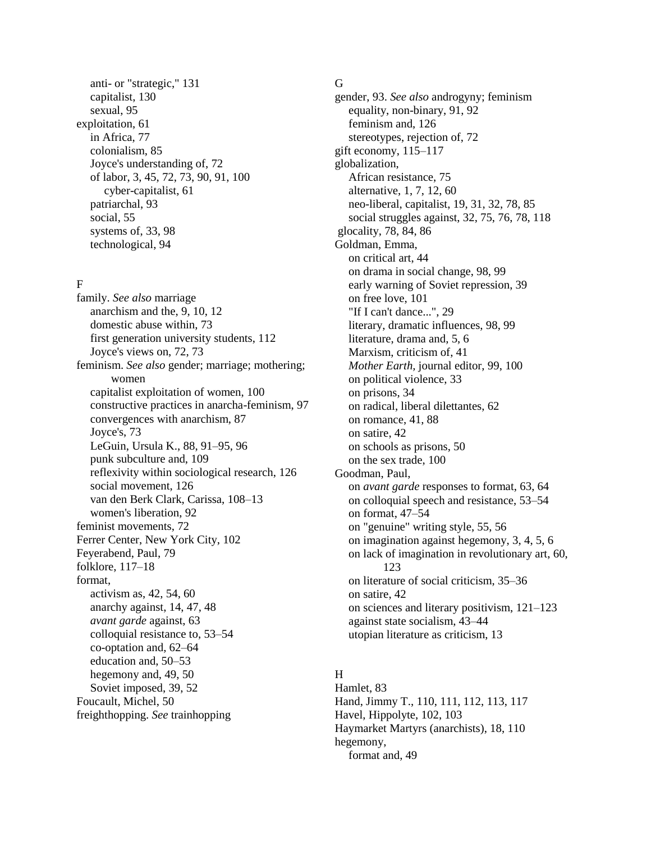anti- or "strategic," 131 capitalist, 130 sexual, 95 exploitation, 61 in Africa, 77 colonialism, 85 Joyce's understanding of, 72 of labor, 3, 45, 72, 73, 90, 91, 100 cyber-capitalist, 61 patriarchal, 93 social, 55 systems of, 33, 98 technological, 94

### F

family. *See also* marriage anarchism and the, 9, 10, 12 domestic abuse within, 73 first generation university students, 112 Joyce's views on, 72, 73 feminism. *See also* gender; marriage; mothering; women capitalist exploitation of women, 100 constructive practices in anarcha-feminism, 97 convergences with anarchism, 87 Joyce's, 73 LeGuin, Ursula K., 88, 91–95, 96 punk subculture and, 109 reflexivity within sociological research, 126 social movement, 126 van den Berk Clark, Carissa, 108–13 women's liberation, 92 feminist movements, 72 Ferrer Center, New York City, 102 Feyerabend, Paul, 79 folklore, 117–18 format, activism as, 42, 54, 60 anarchy against, 14, 47, 48 *avant garde* against, 63 colloquial resistance to, 53–54 co-optation and, 62–64 education and, 50–53 hegemony and, 49, 50 Soviet imposed, 39, 52 Foucault, Michel, 50 freighthopping. *See* trainhopping

#### G

gender, 93. *See also* androgyny; feminism equality, non-binary, 91, 92 feminism and, 126 stereotypes, rejection of, 72 gift economy, 115–117 globalization, African resistance, 75 alternative, 1, 7, 12, 60 neo-liberal, capitalist, 19, 31, 32, 78, 85 social struggles against, 32, 75, 76, 78, 118 glocality, 78, 84, 86 Goldman, Emma, on critical art, 44 on drama in social change, 98, 99 early warning of Soviet repression, 39 on free love, 101 "If I can't dance...", 29 literary, dramatic influences, 98, 99 literature, drama and, 5, 6 Marxism, criticism of, 41 *Mother Earth,* journal editor, 99, 100 on political violence, 33 on prisons, 34 on radical, liberal dilettantes, 62 on romance, 41, 88 on satire, 42 on schools as prisons, 50 on the sex trade, 100 Goodman, Paul, on *avant garde* responses to format, 63, 64 on colloquial speech and resistance, 53–54 on format, 47–54 on "genuine" writing style, 55, 56 on imagination against hegemony, 3, 4, 5, 6 on lack of imagination in revolutionary art, 60, 123 on literature of social criticism, 35–36 on satire, 42 on sciences and literary positivism, 121–123 against state socialism, 43–44 utopian literature as criticism, 13

# H

Hamlet, 83 Hand, Jimmy T., 110, 111, 112, 113, 117 Havel, Hippolyte, 102, 103 Haymarket Martyrs (anarchists), 18, 110 hegemony, format and, 49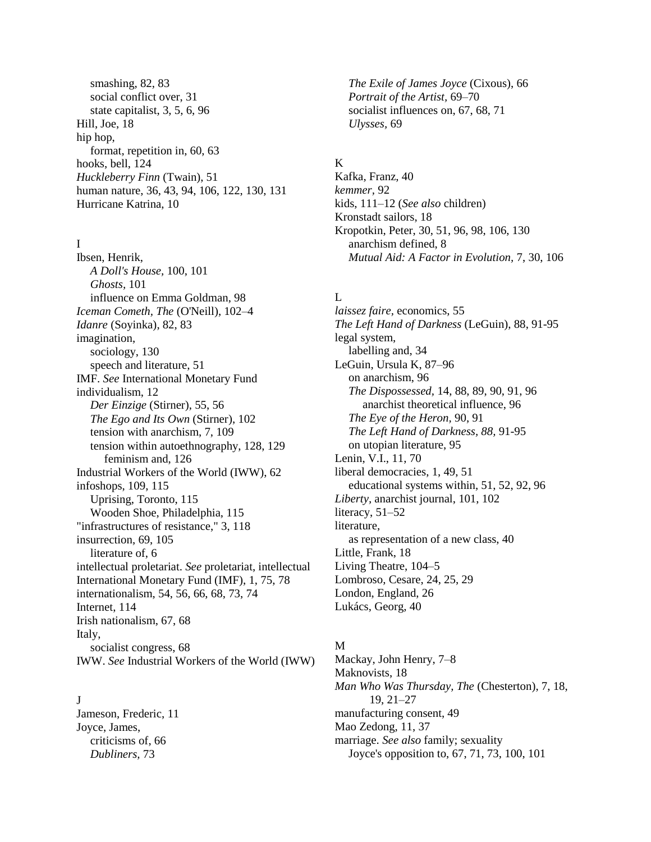smashing, 82, 83 social conflict over, 31 state capitalist, 3, 5, 6, 96 Hill, Joe, 18 hip hop, format, repetition in, 60, 63 hooks, bell, 124 *Huckleberry Finn* (Twain), 51 human nature, 36, 43, 94, 106, 122, 130, 131 Hurricane Katrina, 10

#### I

Ibsen, Henrik, *A Doll's House,* 100, 101 *Ghosts,* 101 influence on Emma Goldman, 98 *Iceman Cometh, The* (O'Neill), 102–4 *Idanre* (Soyinka), 82, 83 imagination, sociology, 130 speech and literature, 51 IMF. *See* International Monetary Fund individualism, 12 *Der Einzige* (Stirner), 55, 56 *The Ego and Its Own* (Stirner), 102 tension with anarchism, 7, 109 tension within autoethnography, 128, 129 feminism and, 126 Industrial Workers of the World (IWW), 62 infoshops, 109, 115 Uprising, Toronto, 115 Wooden Shoe, Philadelphia, 115 "infrastructures of resistance," 3, 118 insurrection, 69, 105 literature of, 6 intellectual proletariat. *See* proletariat, intellectual International Monetary Fund (IMF), 1, 75, 78 internationalism, 54, 56, 66, 68, 73, 74 Internet, 114 Irish nationalism, 67, 68 Italy, socialist congress, 68 IWW. *See* Industrial Workers of the World (IWW)

#### $\mathbf{I}$

Jameson, Frederic, 11 Joyce, James, criticisms of, 66 *Dubliners,* 73

*The Exile of James Joyce* (Cixous), 66 *Portrait of the Artist,* 69–70 socialist influences on, 67, 68, 71 *Ulysses,* 69

## K

Kafka, Franz, 40 *kemmer,* 92 kids, 111–12 (*See also* children) Kronstadt sailors, 18 Kropotkin, Peter, 30, 51, 96, 98, 106, 130 anarchism defined, 8 *Mutual Aid: A Factor in Evolution,* 7, 30, 106

#### L

*laissez faire,* economics, 55 *The Left Hand of Darkness* (LeGuin), 88, 91-95 legal system, labelling and, 34 LeGuin, Ursula K, 87–96 on anarchism, 96 *The Dispossessed,* 14, 88, 89, 90, 91, 96 anarchist theoretical influence, 96 *The Eye of the Heron,* 90, 91 *The Left Hand of Darkness, 88,* 91-95 on utopian literature, 95 Lenin, V.I., 11, 70 liberal democracies, 1, 49, 51 educational systems within, 51, 52, 92, 96 *Liberty,* anarchist journal, 101, 102 literacy, 51–52 literature, as representation of a new class, 40 Little, Frank, 18 Living Theatre, 104–5 Lombroso, Cesare, 24, 25, 29 London, England, 26 Lukács, Georg, 40

#### M

Mackay, John Henry, 7–8 Maknovists, 18 *Man Who Was Thursday, The* (Chesterton), 7, 18, 19, 21–27 manufacturing consent, 49 Mao Zedong, 11, 37 marriage. *See also* family; sexuality Joyce's opposition to, 67, 71, 73, 100, 101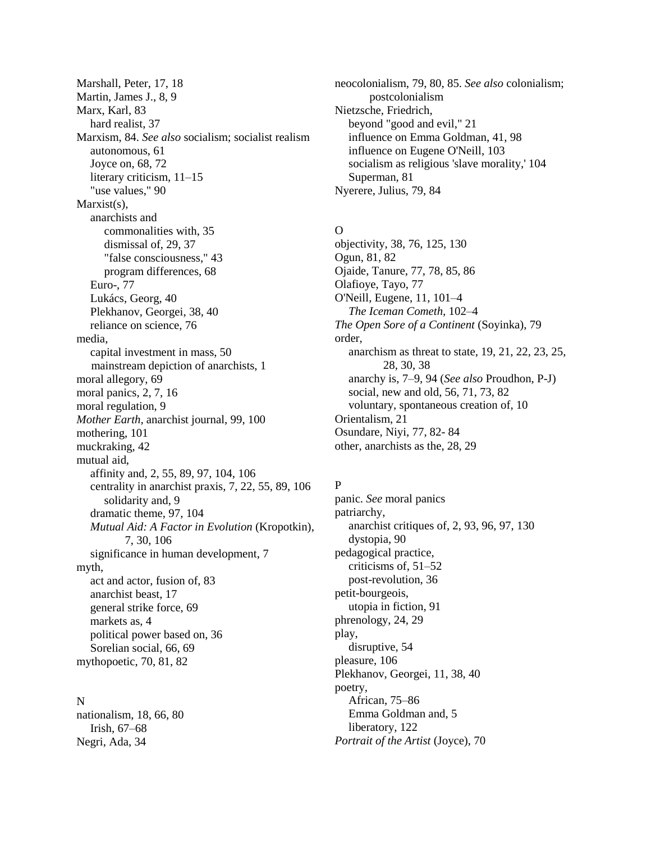Marshall, Peter, 17, 18 Martin, James J., 8, 9 Marx, Karl, 83 hard realist, 37 Marxism, 84. *See also* socialism; socialist realism autonomous, 61 Joyce on, 68, 72 literary criticism,  $11-15$ "use values," 90 Marxist(s). anarchists and commonalities with, 35 dismissal of, 29, 37 "false consciousness," 43 program differences, 68 Euro-, 77 Lukács, Georg, 40 Plekhanov, Georgei, 38, 40 reliance on science, 76 media, capital investment in mass, 50 mainstream depiction of anarchists, 1 moral allegory, 69 moral panics, 2, 7, 16 moral regulation, 9 *Mother Earth,* anarchist journal, 99, 100 mothering, 101 muckraking, 42 mutual aid, affinity and, 2, 55, 89, 97, 104, 106 centrality in anarchist praxis, 7, 22, 55, 89, 106 solidarity and, 9 dramatic theme, 97, 104 *Mutual Aid: A Factor in Evolution* (Kropotkin), 7, 30, 106 significance in human development, 7 myth, act and actor, fusion of, 83 anarchist beast, 17 general strike force, 69 markets as, 4 political power based on, 36 Sorelian social, 66, 69 mythopoetic, 70, 81, 82

#### N

nationalism, 18, 66, 80 Irish, 67–68 Negri, Ada, 34

neocolonialism, 79, 80, 85. *See also* colonialism; postcolonialism Nietzsche, Friedrich, beyond "good and evil," 21 influence on Emma Goldman, 41, 98 influence on Eugene O'Neill, 103 socialism as religious 'slave morality,' 104 Superman, 81 Nyerere, Julius, 79, 84

### $\Omega$

objectivity, 38, 76, 125, 130 Ogun, 81, 82 Ojaide, Tanure, 77, 78, 85, 86 Olafioye, Tayo, 77 O'Neill, Eugene, 11, 101–4 *The Iceman Cometh,* 102–4 *The Open Sore of a Continent* (Soyinka), 79 order, anarchism as threat to state, 19, 21, 22, 23, 25, 28, 30, 38 anarchy is, 7–9, 94 (*See also* Proudhon, P-J) social, new and old, 56, 71, 73, 82 voluntary, spontaneous creation of, 10 Orientalism, 21 Osundare, Niyi, 77, 82- 84 other, anarchists as the, 28, 29

## P

panic. *See* moral panics patriarchy, anarchist critiques of, 2, 93, 96, 97, 130 dystopia, 90 pedagogical practice, criticisms of, 51–52 post-revolution, 36 petit-bourgeois, utopia in fiction, 91 phrenology, 24, 29 play, disruptive, 54 pleasure, 106 Plekhanov, Georgei, 11, 38, 40 poetry, African, 75–86 Emma Goldman and, 5 liberatory, 122 *Portrait of the Artist* (Joyce), 70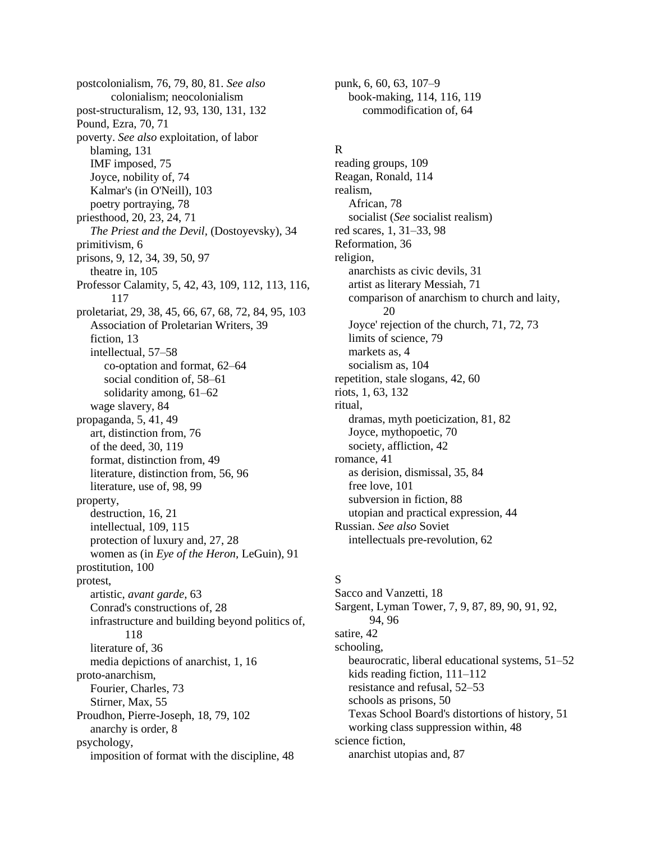postcolonialism, 76, 79, 80, 81. *See also* colonialism; neocolonialism post-structuralism, 12, 93, 130, 131, 132 Pound, Ezra, 70, 71 poverty. *See also* exploitation, of labor blaming, 131 IMF imposed, 75 Joyce, nobility of, 74 Kalmar's (in O'Neill), 103 poetry portraying, 78 priesthood, 20, 23, 24, 71 *The Priest and the Devil,* (Dostoyevsky), 34 primitivism, 6 prisons, 9, 12, 34, 39, 50, 97 theatre in, 105 Professor Calamity, 5, 42, 43, 109, 112, 113, 116, 117 proletariat, 29, 38, 45, 66, 67, 68, 72, 84, 95, 103 Association of Proletarian Writers, 39 fiction, 13 intellectual, 57–58 co-optation and format, 62–64 social condition of, 58–61 solidarity among, 61–62 wage slavery, 84 propaganda, 5, 41, 49 art, distinction from, 76 of the deed, 30, 119 format, distinction from, 49 literature, distinction from, 56, 96 literature, use of, 98, 99 property, destruction, 16, 21 intellectual, 109, 115 protection of luxury and, 27, 28 women as (in *Eye of the Heron,* LeGuin), 91 prostitution, 100 protest, artistic, *avant garde,* 63 Conrad's constructions of, 28 infrastructure and building beyond politics of, 118 literature of, 36 media depictions of anarchist, 1, 16 proto-anarchism, Fourier, Charles, 73 Stirner, Max, 55 Proudhon, Pierre-Joseph, 18, 79, 102 anarchy is order, 8 psychology, imposition of format with the discipline, 48

punk, 6, 60, 63, 107–9 book-making, 114, 116, 119 commodification of, 64

### R

reading groups, 109 Reagan, Ronald, 114 realism, African, 78 socialist (*See* socialist realism) red scares, 1, 31–33, 98 Reformation, 36 religion, anarchists as civic devils, 31 artist as literary Messiah, 71 comparison of anarchism to church and laity, 20 Joyce' rejection of the church, 71, 72, 73 limits of science, 79 markets as, 4 socialism as, 104 repetition, stale slogans, 42, 60 riots, 1, 63, 132 ritual, dramas, myth poeticization, 81, 82 Joyce, mythopoetic, 70 society, affliction, 42 romance, 41 as derision, dismissal, 35, 84 free love, 101 subversion in fiction, 88 utopian and practical expression, 44 Russian. *See also* Soviet intellectuals pre-revolution, 62

## S

Sacco and Vanzetti, 18 Sargent, Lyman Tower, 7, 9, 87, 89, 90, 91, 92, 94, 96 satire, 42 schooling, beaurocratic, liberal educational systems, 51–52 kids reading fiction, 111–112 resistance and refusal, 52–53 schools as prisons, 50 Texas School Board's distortions of history, 51 working class suppression within, 48 science fiction, anarchist utopias and, 87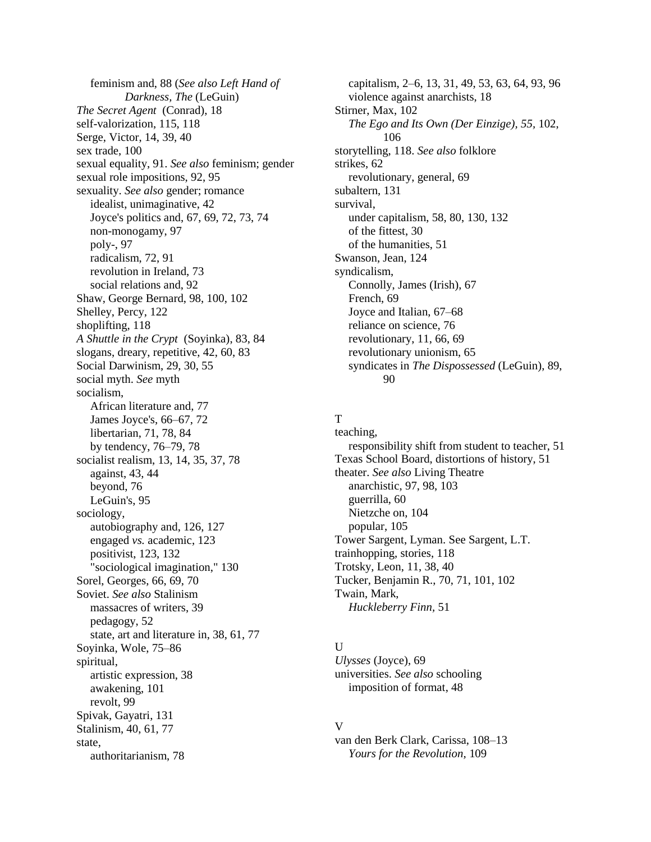feminism and, 88 (*See also Left Hand of Darkness, The* (LeGuin) *The Secret Agent* (Conrad), 18 self-valorization, 115, 118 Serge, Victor, 14, 39, 40 sex trade, 100 sexual equality, 91. *See also* feminism; gender sexual role impositions, 92, 95 sexuality. *See also* gender; romance idealist, unimaginative, 42 Joyce's politics and, 67, 69, 72, 73, 74 non-monogamy, 97 poly-, 97 radicalism, 72, 91 revolution in Ireland, 73 social relations and, 92 Shaw, George Bernard, 98, 100, 102 Shelley, Percy, 122 shoplifting, 118 *A Shuttle in the Crypt* (Soyinka), 83, 84 slogans, dreary, repetitive, 42, 60, 83 Social Darwinism, 29, 30, 55 social myth. *See* myth socialism, African literature and, 77 James Joyce's, 66–67, 72 libertarian, 71, 78, 84 by tendency, 76–79, 78 socialist realism, 13, 14, 35, 37, 78 against, 43, 44 beyond, 76 LeGuin's, 95 sociology, autobiography and, 126, 127 engaged *vs.* academic, 123 positivist, 123, 132 "sociological imagination," 130 Sorel, Georges, 66, 69, 70 Soviet. *See also* Stalinism massacres of writers, 39 pedagogy, 52 state, art and literature in, 38, 61, 77 Soyinka, Wole, 75–86 spiritual, artistic expression, 38 awakening, 101 revolt, 99 Spivak, Gayatri, 131 Stalinism, 40, 61, 77 state, authoritarianism, 78

capitalism, 2–6, 13, 31, 49, 53, 63, 64, 93, 96 violence against anarchists, 18 Stirner, Max, 102 *The Ego and Its Own (Der Einzige), 55,* 102, 106 storytelling, 118. *See also* folklore strikes, 62 revolutionary, general, 69 subaltern, 131 survival, under capitalism, 58, 80, 130, 132 of the fittest, 30 of the humanities, 51 Swanson, Jean, 124 syndicalism, Connolly, James (Irish), 67 French, 69 Joyce and Italian, 67–68 reliance on science, 76 revolutionary, 11, 66, 69 revolutionary unionism, 65 syndicates in *The Dispossessed* (LeGuin), 89, 90

### T

teaching, responsibility shift from student to teacher, 51 Texas School Board, distortions of history, 51 theater. *See also* Living Theatre anarchistic, 97, 98, 103 guerrilla, 60 Nietzche on, 104 popular, 105 Tower Sargent, Lyman. See Sargent, L.T. trainhopping, stories, 118 Trotsky, Leon, 11, 38, 40 Tucker, Benjamin R., 70, 71, 101, 102 Twain, Mark, *Huckleberry Finn,* 51

#### $\mathbf{U}$

*Ulysses* (Joyce), 69 universities. *See also* schooling imposition of format, 48

#### V

van den Berk Clark, Carissa, 108–13 *Yours for the Revolution,* 109